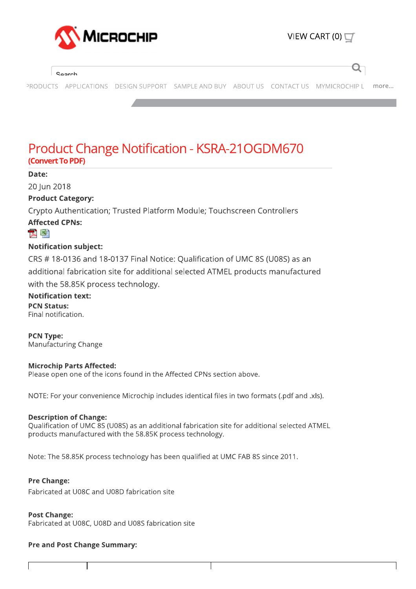

#### Search

PRODUCTS APPLICATIONS DESIGN SUPPORT SAMPLE AND BUY ABOUT US CONTACT US MYMICROCHIP L more...

# **Product Change Notification - KSRA-21OGDM670** (Convert To PDF)

#### Date:

20 Jun 2018

## **Product Category:**

Crypto Authentication; Trusted Platform Module; Touchscreen Controllers

## **Affected CPNs:**

## 고 돼

#### **Notification subject:**

CRS #18-0136 and 18-0137 Final Notice: Qualification of UMC 8S (U08S) as an additional fabrication site for additional selected ATMEL products manufactured with the 58.85K process technology.

**Notification text: PCN Status:** 

Final notification.

**PCN Type:** Manufacturing Change

#### **Microchip Parts Affected:**

Please open one of the icons found in the Affected CPNs section above.

NOTE: For your convenience Microchip includes identical files in two formats (.pdf and .xls).

#### **Description of Change:**

Oualification of UMC 8S (U08S) as an additional fabrication site for additional selected ATMEL products manufactured with the 58.85K process technology.

Note: The 58.85K process technology has been qualified at UMC FAB 8S since 2011.

#### **Pre Change:**

Fabricated at U08C and U08D fabrication site

#### **Post Change:**

Fabricated at U08C, U08D and U08S fabrication site

#### **Pre and Post Change Summary:**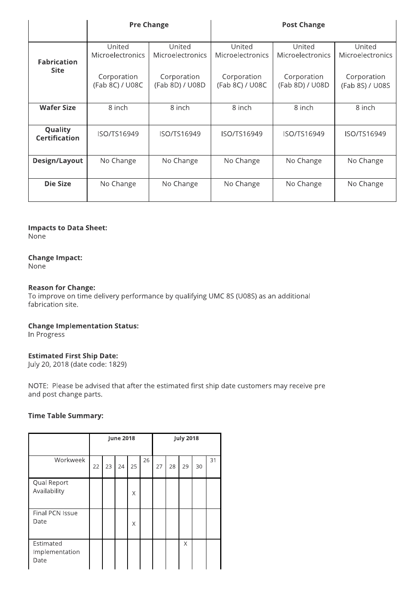|                                   | <b>Pre Change</b>              |                                | <b>Post Change</b>                |                                |                                   |  |  |  |
|-----------------------------------|--------------------------------|--------------------------------|-----------------------------------|--------------------------------|-----------------------------------|--|--|--|
|                                   | United<br>Microelectronics     | United<br>Microelectronics     | United<br><b>Microelectronics</b> | United<br>Microelectronics     | United<br><b>Microelectronics</b> |  |  |  |
| <b>Fabrication</b><br><b>Site</b> | Corporation<br>(Fab 8C) / U08C | Corporation<br>(Fab 8D) / U08D | Corporation<br>(Fab 8C) / U08C    | Corporation<br>(Fab 8D) / U08D | Corporation<br>(Fab 8S) / U08S    |  |  |  |
| <b>Wafer Size</b>                 | 8 inch                         | 8 inch                         | 8 inch                            | 8 inch                         | 8 inch                            |  |  |  |
| Quality<br><b>Certification</b>   | ISO/TS16949                    | ISO/TS16949                    | ISO/TS16949                       | ISO/TS16949                    | ISO/TS16949                       |  |  |  |
| Design/Layout                     | No Change                      | No Change                      | No Change                         | No Change                      | No Change                         |  |  |  |
| <b>Die Size</b>                   | No Change                      | No Change                      | No Change                         | No Change                      | No Change                         |  |  |  |

#### **Impacts to Data Sheet:**

None

## **Change Impact:**

None<sup>1</sup>

#### **Reason for Change:**

To improve on time delivery performance by qualifying UMC 8S (U08S) as an additional fabrication site.

# **Change Implementation Status:**

In Progress

#### **Estimated First Ship Date:**

July 20, 2018 (date code: 1829)

NOTE: Please be advised that after the estimated first ship date customers may receive pre and post change parts.

#### **Time Table Summary:**

|                                     | <b>June 2018</b> |    |    |    | <b>July 2018</b> |    |    |    |    |    |
|-------------------------------------|------------------|----|----|----|------------------|----|----|----|----|----|
| Workweek                            | 22               | 23 | 24 | 25 | 26               | 27 | 28 | 29 | 30 | 31 |
| Qual Report<br>Availability         |                  |    |    | X  |                  |    |    |    |    |    |
| Final PCN Issue<br>Date             |                  |    |    | X  |                  |    |    |    |    |    |
| Estimated<br>Implementation<br>Date |                  |    |    |    |                  |    |    | X  |    |    |